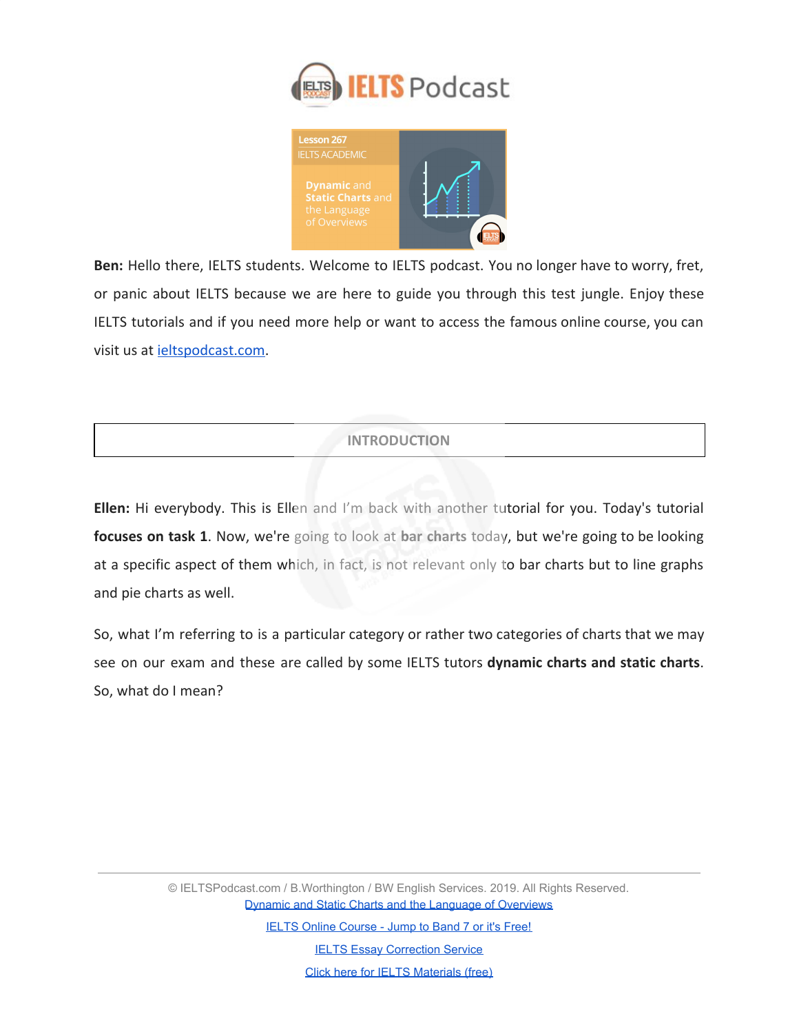



**Ben:** Hello there, IELTS students. Welcome to IELTS podcast. You no longer have to worry, fret, or panic about IELTS because we are here to guide you through this test jungle. Enjoy these IELTS tutorials and if you need more help or want to access the famous online course, you can visit us at [ieltspodcast.com](http://ieltspodcast.com/).

# **INTRODUCTION**

**Ellen:** Hi everybody. This is Ellen and I'm back with another tutorial for you. Today's tutorial **focuses on task 1**. Now, we're going to look at **bar charts** today, but we're going to be looking at a specific aspect of them which, in fact, is not relevant only to bar charts but to line graphs and pie charts as well.

So, what I'm referring to is a particular category or rather two categories of charts that we may see on our exam and these are called by some IELTS tutors **dynamic charts and static charts**. So, what do I mean?

> © IELTSPodcast.com / B.Worthington / BW English Services. 2019. All Rights Reserved. [Dynamic and Static Charts and the Language of Overviews](https://www.ieltspodcast.com/academic-ielts/dynamic-static/?utm_source=blog_transcript&utm_medium=weekly&utm_term=&utm_content=&utm_campaign=post267)

> > [IELTS Online Course - Jump to Band 7 or it's Free!](https://www.ieltspodcast.com/online-ielts-course/?utm_source=blog_transcript&utm_medium=weekly&utm_term=&utm_content=&utm_campaign=post267)

**[IELTS Essay Correction Service](https://www.ieltspodcast.com/essay-correction-service/?utm_source=blog_transcript&utm_medium=weekly&utm_term=&utm_content=&utm_campaign=post267)** [Click here for IELTS Materials \(free\)](https://www.ieltspodcast.com/sign/?utm_source=blog_transcript&utm_medium=weekly&utm_term=&utm_content=&utm_campaign=post267)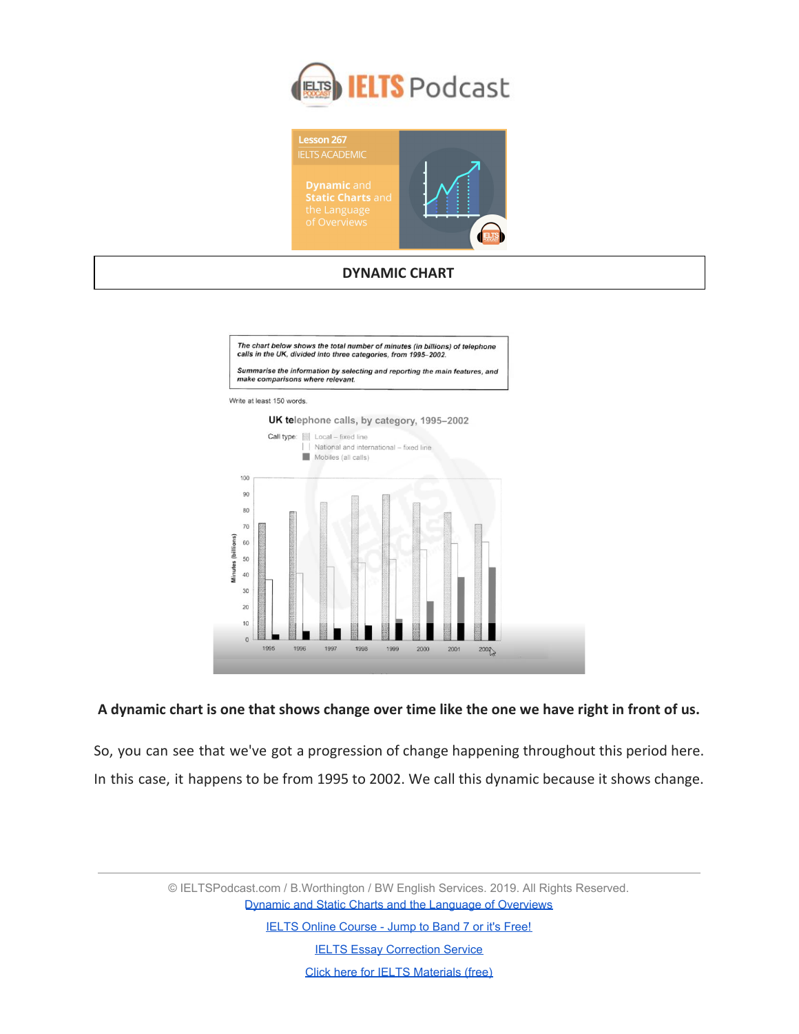



#### **DYNAMIC CHART**



### **A dynamic chart is one that shows change over time like the one we have right in front of us.**

So, you can see that we've got a progression of change happening throughout this period here. In this case, it happens to be from 1995 to 2002. We call this dynamic because it shows change.

> © IELTSPodcast.com / B.Worthington / BW English Services. 2019. All Rights Reserved. [Dynamic and Static Charts and the Language of Overviews](https://www.ieltspodcast.com/academic-ielts/dynamic-static/?utm_source=blog_transcript&utm_medium=weekly&utm_term=&utm_content=&utm_campaign=post267)

> > [IELTS Online Course - Jump to Band 7 or it's Free!](https://www.ieltspodcast.com/online-ielts-course/?utm_source=blog_transcript&utm_medium=weekly&utm_term=&utm_content=&utm_campaign=post267)

**[IELTS Essay Correction Service](https://www.ieltspodcast.com/essay-correction-service/?utm_source=blog_transcript&utm_medium=weekly&utm_term=&utm_content=&utm_campaign=post267)**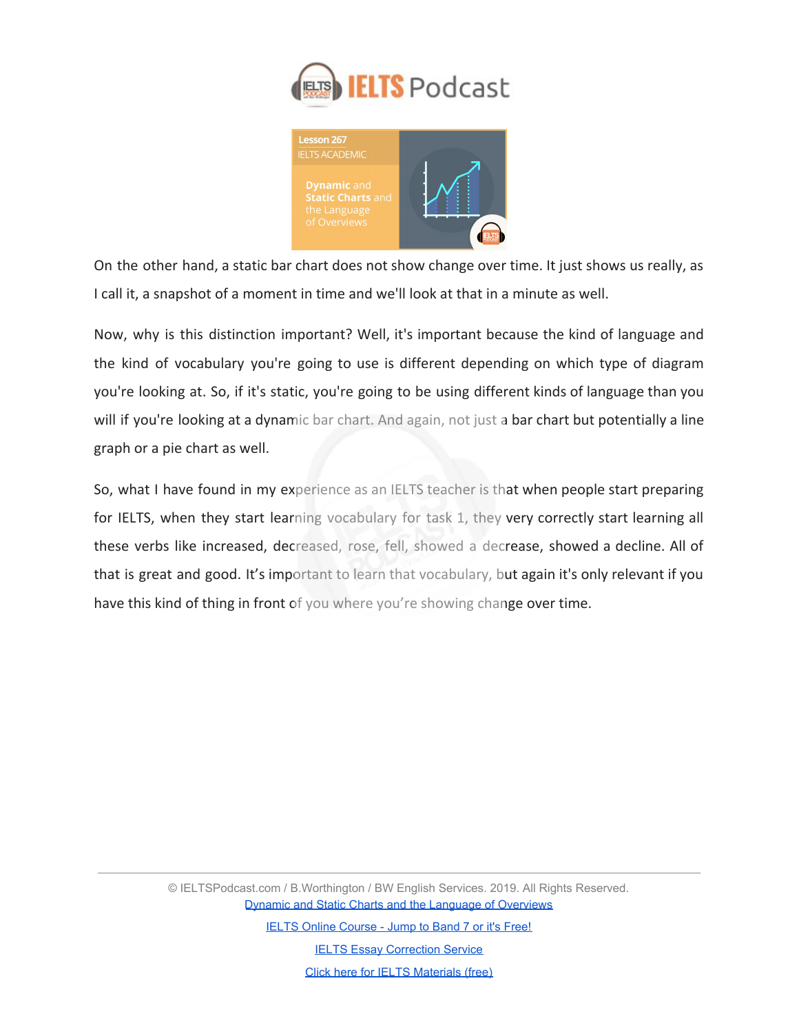



On the other hand, a static bar chart does not show change over time. It just shows us really, as I call it, a snapshot of a moment in time and we'll look at that in a minute as well.

Now, why is this distinction important? Well, it's important because the kind of language and the kind of vocabulary you're going to use is different depending on which type of diagram you're looking at. So, if it's static, you're going to be using different kinds of language than you will if you're looking at a dynamic bar chart. And again, not just a bar chart but potentially a line graph or a pie chart as well.

So, what I have found in my experience as an IELTS teacher is that when people start preparing for IELTS, when they start learning vocabulary for task 1, they very correctly start learning all these verbs like increased, decreased, rose, fell, showed a decrease, showed a decline. All of that is great and good. It's important to learn that vocabulary, but again it's only relevant if you have this kind of thing in front of you where you're showing change over time.

> © IELTSPodcast.com / B.Worthington / BW English Services. 2019. All Rights Reserved. [Dynamic and Static Charts and the Language of Overviews](https://www.ieltspodcast.com/academic-ielts/dynamic-static/?utm_source=blog_transcript&utm_medium=weekly&utm_term=&utm_content=&utm_campaign=post267)

> > [IELTS Online Course - Jump to Band 7 or it's Free!](https://www.ieltspodcast.com/online-ielts-course/?utm_source=blog_transcript&utm_medium=weekly&utm_term=&utm_content=&utm_campaign=post267)

**[IELTS Essay Correction Service](https://www.ieltspodcast.com/essay-correction-service/?utm_source=blog_transcript&utm_medium=weekly&utm_term=&utm_content=&utm_campaign=post267)**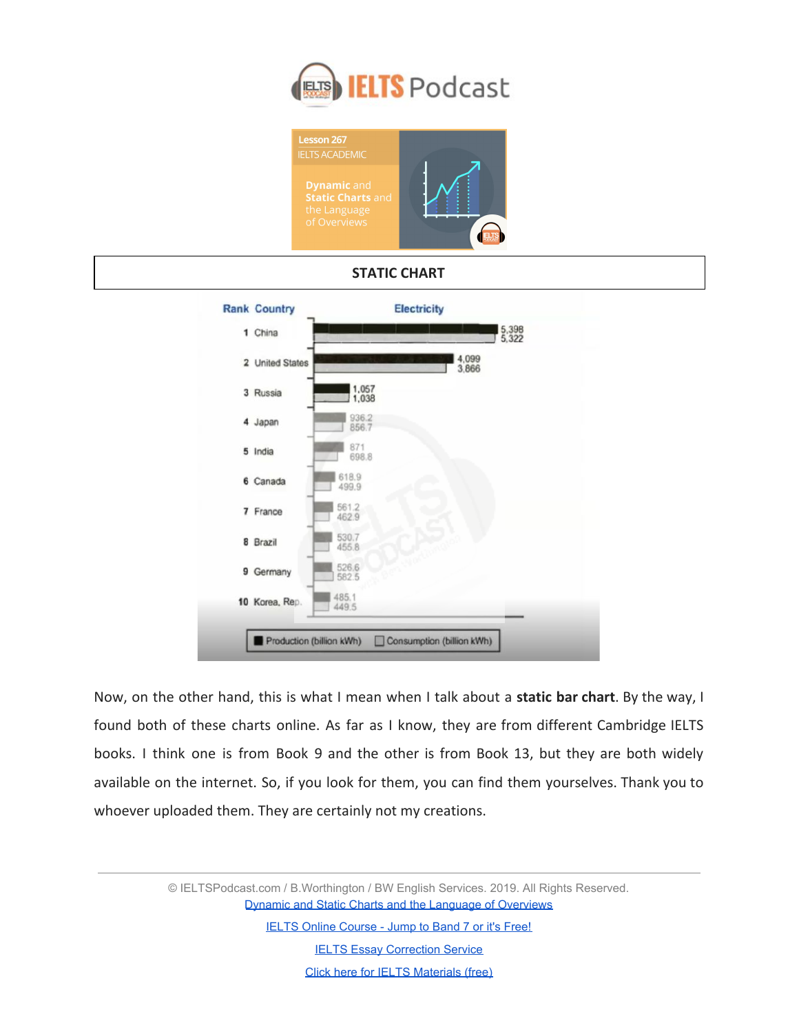





Now, on the other hand, this is what I mean when I talk about a **static bar chart**. By the way, I found both of these charts online. As far as I know, they are from different Cambridge IELTS books. I think one is from Book 9 and the other is from Book 13, but they are both widely available on the internet. So, if you look for them, you can find them yourselves. Thank you to whoever uploaded them. They are certainly not my creations.

> © IELTSPodcast.com / B.Worthington / BW English Services. 2019. All Rights Reserved. [Dynamic and Static Charts and the Language of Overviews](https://www.ieltspodcast.com/academic-ielts/dynamic-static/?utm_source=blog_transcript&utm_medium=weekly&utm_term=&utm_content=&utm_campaign=post267)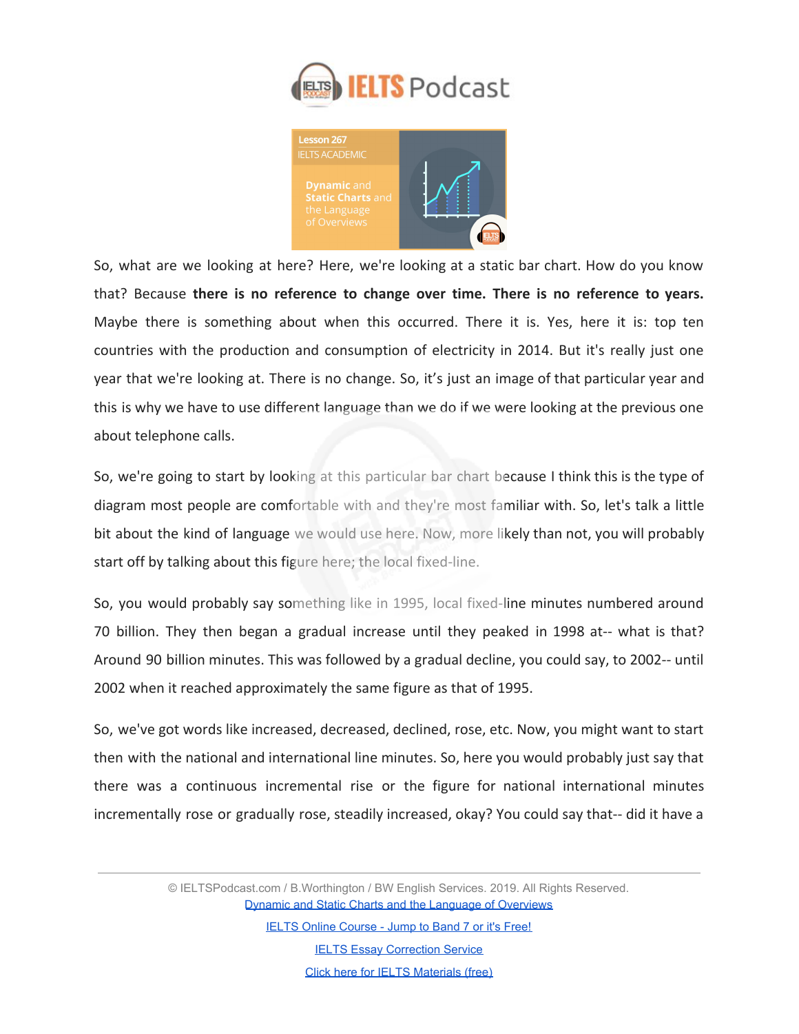



So, what are we looking at here? Here, we're looking at a static bar chart. How do you know that? Because **there is no reference to change over time. There is no reference to years.** Maybe there is something about when this occurred. There it is. Yes, here it is: top ten countries with the production and consumption of electricity in 2014. But it's really just one year that we're looking at. There is no change. So, it's just an image of that particular year and this is why we have to use different language than we do if we were looking at the previous one about telephone calls.

So, we're going to start by looking at this particular bar chart because I think this is the type of diagram most people are comfortable with and they're most familiar with. So, let's talk a little bit about the kind of language we would use here. Now, more likely than not, you will probably start off by talking about this figure here; the local fixed-line.

So, you would probably say something like in 1995, local fixed-line minutes numbered around 70 billion. They then began a gradual increase until they peaked in 1998 at-- what is that? Around 90 billion minutes. This was followed by a gradual decline, you could say, to 2002-- until 2002 when it reached approximately the same figure as that of 1995.

So, we've got words like increased, decreased, declined, rose, etc. Now, you might want to start then with the national and international line minutes. So, here you would probably just say that there was a continuous incremental rise or the figure for national international minutes incrementally rose or gradually rose, steadily increased, okay? You could say that-- did it have a

> © IELTSPodcast.com / B.Worthington / BW English Services. 2019. All Rights Reserved. [Dynamic and Static Charts and the Language of Overviews](https://www.ieltspodcast.com/academic-ielts/dynamic-static/?utm_source=blog_transcript&utm_medium=weekly&utm_term=&utm_content=&utm_campaign=post267)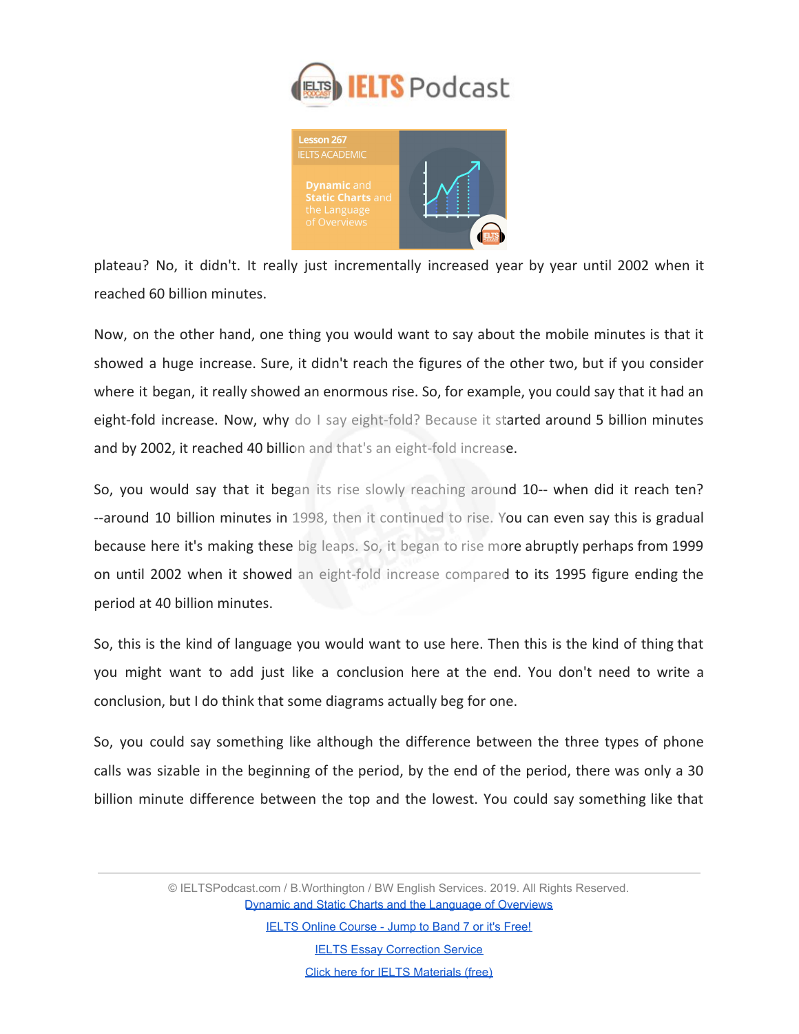



plateau? No, it didn't. It really just incrementally increased year by year until 2002 when it reached 60 billion minutes.

Now, on the other hand, one thing you would want to say about the mobile minutes is that it showed a huge increase. Sure, it didn't reach the figures of the other two, but if you consider where it began, it really showed an enormous rise. So, for example, you could say that it had an eight-fold increase. Now, why do I say eight-fold? Because it started around 5 billion minutes and by 2002, it reached 40 billion and that's an eight-fold increase.

So, you would say that it began its rise slowly reaching around 10-- when did it reach ten? --around 10 billion minutes in 1998, then it continued to rise. You can even say this is gradual because here it's making these big leaps. So, it began to rise more abruptly perhaps from 1999 on until 2002 when it showed an eight-fold increase compared to its 1995 figure ending the period at 40 billion minutes.

So, this is the kind of language you would want to use here. Then this is the kind of thing that you might want to add just like a conclusion here at the end. You don't need to write a conclusion, but I do think that some diagrams actually beg for one.

So, you could say something like although the difference between the three types of phone calls was sizable in the beginning of the period, by the end of the period, there was only a 30 billion minute difference between the top and the lowest. You could say something like that

> © IELTSPodcast.com / B.Worthington / BW English Services. 2019. All Rights Reserved. [Dynamic and Static Charts and the Language of Overviews](https://www.ieltspodcast.com/academic-ielts/dynamic-static/?utm_source=blog_transcript&utm_medium=weekly&utm_term=&utm_content=&utm_campaign=post267)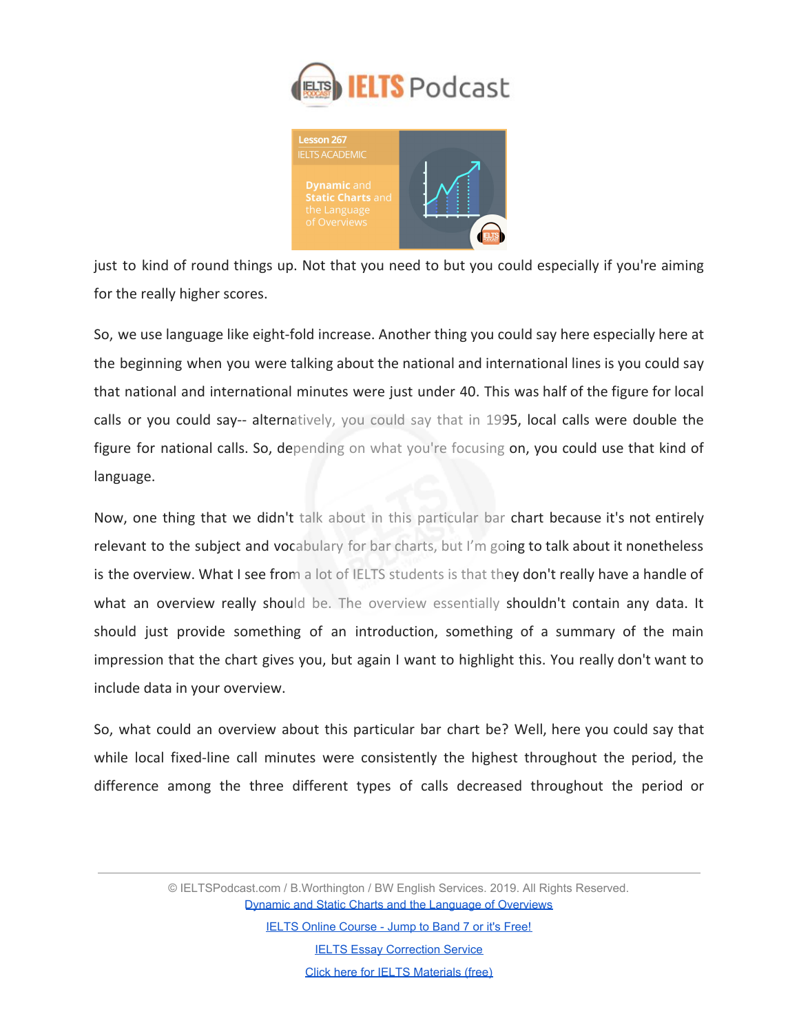



just to kind of round things up. Not that you need to but you could especially if you're aiming for the really higher scores.

So, we use language like eight-fold increase. Another thing you could say here especially here at the beginning when you were talking about the national and international lines is you could say that national and international minutes were just under 40. This was half of the figure for local calls or you could say-- alternatively, you could say that in 1995, local calls were double the figure for national calls. So, depending on what you're focusing on, you could use that kind of language.

Now, one thing that we didn't talk about in this particular bar chart because it's not entirely relevant to the subject and vocabulary for bar charts, but I'm going to talk about it nonetheless is the overview. What I see from a lot of IELTS students is that they don't really have a handle of what an overview really should be. The overview essentially shouldn't contain any data. It should just provide something of an introduction, something of a summary of the main impression that the chart gives you, but again I want to highlight this. You really don't want to include data in your overview.

So, what could an overview about this particular bar chart be? Well, here you could say that while local fixed-line call minutes were consistently the highest throughout the period, the difference among the three different types of calls decreased throughout the period or

> © IELTSPodcast.com / B.Worthington / BW English Services. 2019. All Rights Reserved. [Dynamic and Static Charts and the Language of Overviews](https://www.ieltspodcast.com/academic-ielts/dynamic-static/?utm_source=blog_transcript&utm_medium=weekly&utm_term=&utm_content=&utm_campaign=post267)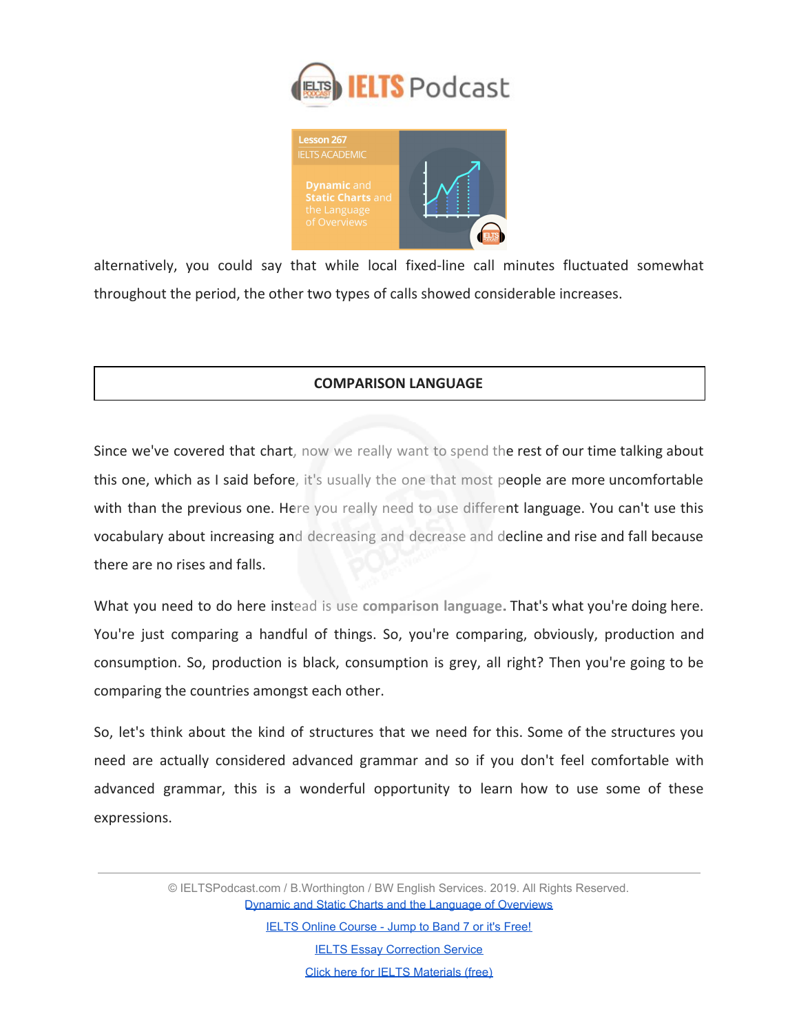



alternatively, you could say that while local fixed-line call minutes fluctuated somewhat throughout the period, the other two types of calls showed considerable increases.

## **COMPARISON LANGUAGE**

Since we've covered that chart, now we really want to spend the rest of our time talking about this one, which as I said before, it's usually the one that most people are more uncomfortable with than the previous one. Here you really need to use different language. You can't use this vocabulary about increasing and decreasing and decrease and decline and rise and fall because there are no rises and falls.

What you need to do here instead is use **comparison language.** That's what you're doing here. You're just comparing a handful of things. So, you're comparing, obviously, production and consumption. So, production is black, consumption is grey, all right? Then you're going to be comparing the countries amongst each other.

So, let's think about the kind of structures that we need for this. Some of the structures you need are actually considered advanced grammar and so if you don't feel comfortable with advanced grammar, this is a wonderful opportunity to learn how to use some of these expressions.

> © IELTSPodcast.com / B.Worthington / BW English Services. 2019. All Rights Reserved. [Dynamic and Static Charts and the Language of Overviews](https://www.ieltspodcast.com/academic-ielts/dynamic-static/?utm_source=blog_transcript&utm_medium=weekly&utm_term=&utm_content=&utm_campaign=post267)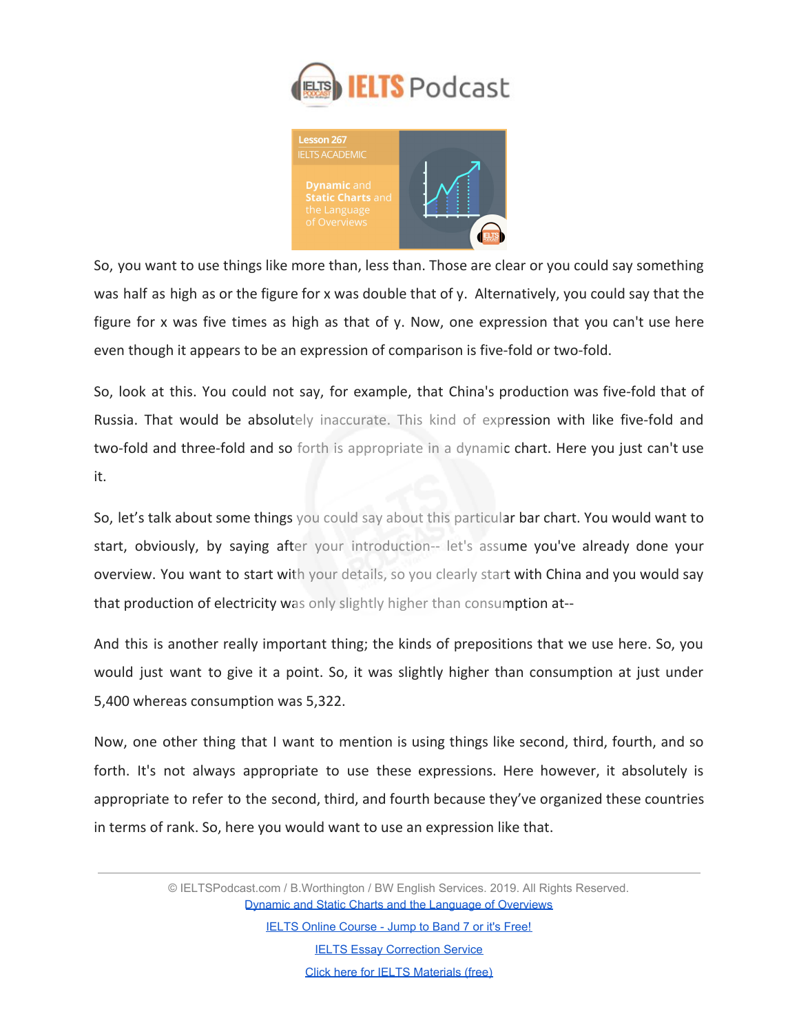



So, you want to use things like more than, less than. Those are clear or you could say something was half as high as or the figure for x was double that of y. Alternatively, you could say that the figure for x was five times as high as that of y. Now, one expression that you can't use here even though it appears to be an expression of comparison is five-fold or two-fold.

So, look at this. You could not say, for example, that China's production was five-fold that of Russia. That would be absolutely inaccurate. This kind of expression with like five-fold and two-fold and three-fold and so forth is appropriate in a dynamic chart. Here you just can't use it.

So, let's talk about some things you could say about this particular bar chart. You would want to start, obviously, by saying after your introduction-- let's assume you've already done your overview. You want to start with your details, so you clearly start with China and you would say that production of electricity was only slightly higher than consumption at--

And this is another really important thing; the kinds of prepositions that we use here. So, you would just want to give it a point. So, it was slightly higher than consumption at just under 5,400 whereas consumption was 5,322.

Now, one other thing that I want to mention is using things like second, third, fourth, and so forth. It's not always appropriate to use these expressions. Here however, it absolutely is appropriate to refer to the second, third, and fourth because they've organized these countries in terms of rank. So, here you would want to use an expression like that.

> © IELTSPodcast.com / B.Worthington / BW English Services. 2019. All Rights Reserved. [Dynamic and Static Charts and the Language of Overviews](https://www.ieltspodcast.com/academic-ielts/dynamic-static/?utm_source=blog_transcript&utm_medium=weekly&utm_term=&utm_content=&utm_campaign=post267)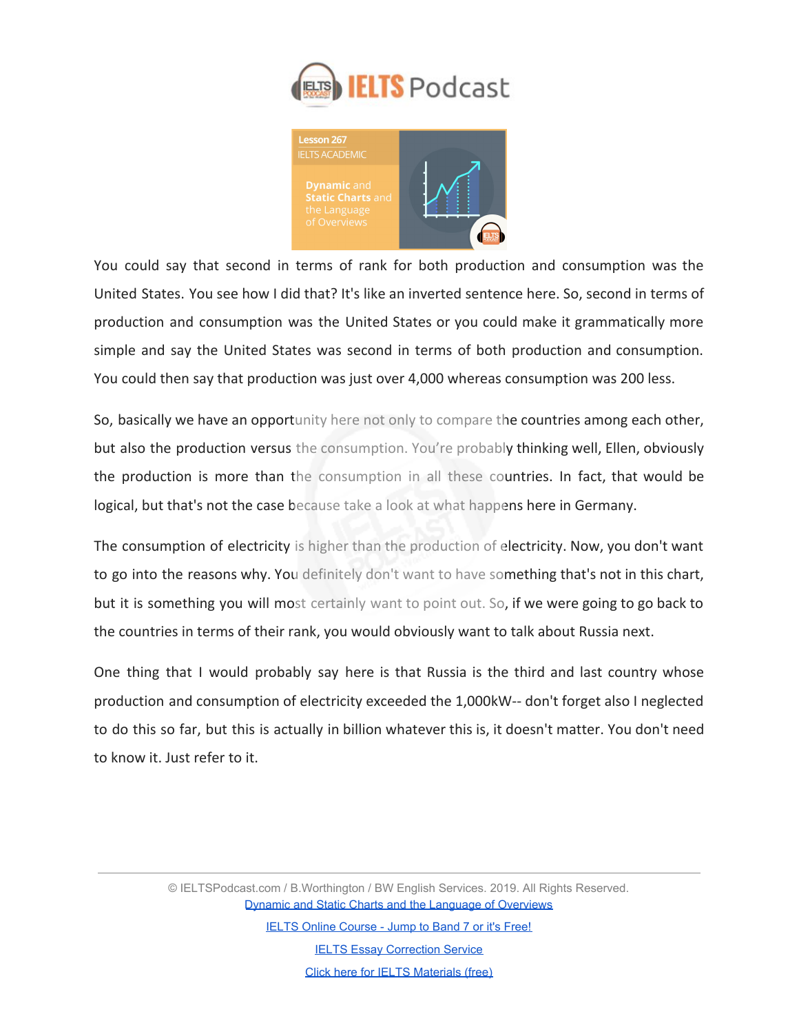



You could say that second in terms of rank for both production and consumption was the United States. You see how I did that? It's like an inverted sentence here. So, second in terms of production and consumption was the United States or you could make it grammatically more simple and say the United States was second in terms of both production and consumption. You could then say that production was just over 4,000 whereas consumption was 200 less.

So, basically we have an opportunity here not only to compare the countries among each other, but also the production versus the consumption. You're probably thinking well, Ellen, obviously the production is more than the consumption in all these countries. In fact, that would be logical, but that's not the case because take a look at what happens here in Germany.

The consumption of electricity is higher than the production of electricity. Now, you don't want to go into the reasons why. You definitely don't want to have something that's not in this chart, but it is something you will most certainly want to point out. So, if we were going to go back to the countries in terms of their rank, you would obviously want to talk about Russia next.

One thing that I would probably say here is that Russia is the third and last country whose production and consumption of electricity exceeded the 1,000kW-- don't forget also I neglected to do this so far, but this is actually in billion whatever this is, it doesn't matter. You don't need to know it. Just refer to it.

> © IELTSPodcast.com / B.Worthington / BW English Services. 2019. All Rights Reserved. [Dynamic and Static Charts and the Language of Overviews](https://www.ieltspodcast.com/academic-ielts/dynamic-static/?utm_source=blog_transcript&utm_medium=weekly&utm_term=&utm_content=&utm_campaign=post267)

> > [IELTS Online Course - Jump to Band 7 or it's Free!](https://www.ieltspodcast.com/online-ielts-course/?utm_source=blog_transcript&utm_medium=weekly&utm_term=&utm_content=&utm_campaign=post267) **[IELTS Essay Correction Service](https://www.ieltspodcast.com/essay-correction-service/?utm_source=blog_transcript&utm_medium=weekly&utm_term=&utm_content=&utm_campaign=post267)**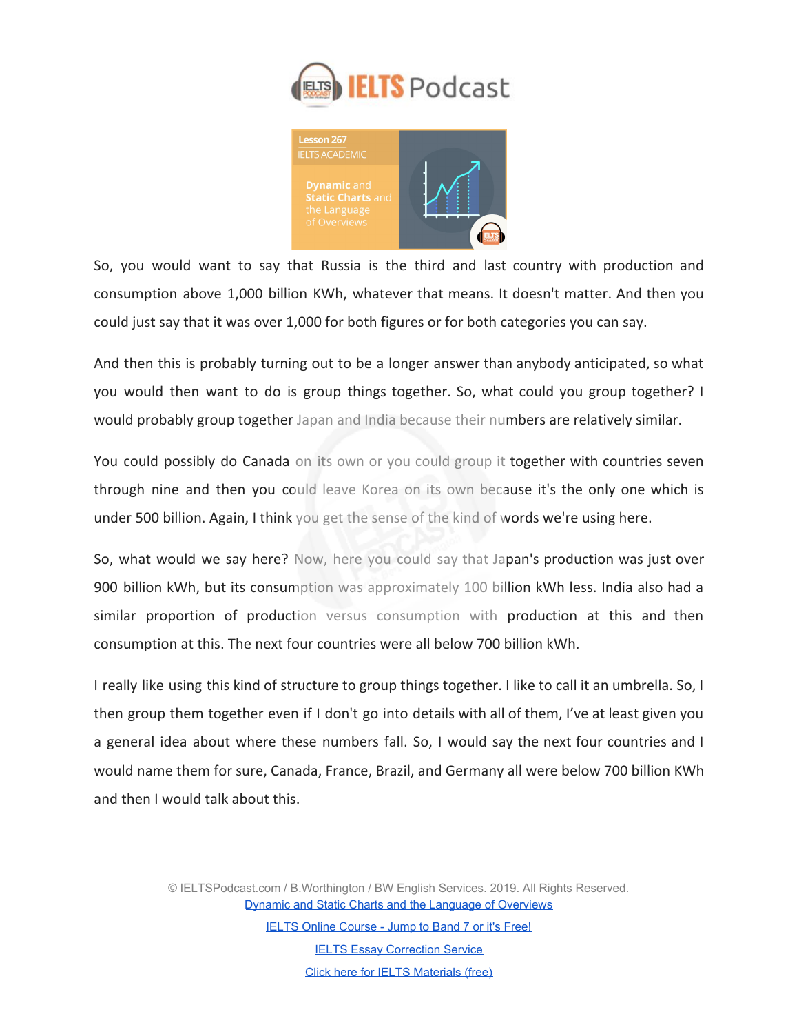



So, you would want to say that Russia is the third and last country with production and consumption above 1,000 billion KWh, whatever that means. It doesn't matter. And then you could just say that it was over 1,000 for both figures or for both categories you can say.

And then this is probably turning out to be a longer answer than anybody anticipated, so what you would then want to do is group things together. So, what could you group together? I would probably group together Japan and India because their numbers are relatively similar.

You could possibly do Canada on its own or you could group it together with countries seven through nine and then you could leave Korea on its own because it's the only one which is under 500 billion. Again, I think you get the sense of the kind of words we're using here.

So, what would we say here? Now, here you could say that Japan's production was just over 900 billion kWh, but its consumption was approximately 100 billion kWh less. India also had a similar proportion of production versus consumption with production at this and then consumption at this. The next four countries were all below 700 billion kWh.

I really like using this kind of structure to group things together. I like to call it an umbrella. So, I then group them together even if I don't go into details with all of them, I've at least given you a general idea about where these numbers fall. So, I would say the next four countries and I would name them for sure, Canada, France, Brazil, and Germany all were below 700 billion KWh and then I would talk about this.

> © IELTSPodcast.com / B.Worthington / BW English Services. 2019. All Rights Reserved. [Dynamic and Static Charts and the Language of Overviews](https://www.ieltspodcast.com/academic-ielts/dynamic-static/?utm_source=blog_transcript&utm_medium=weekly&utm_term=&utm_content=&utm_campaign=post267)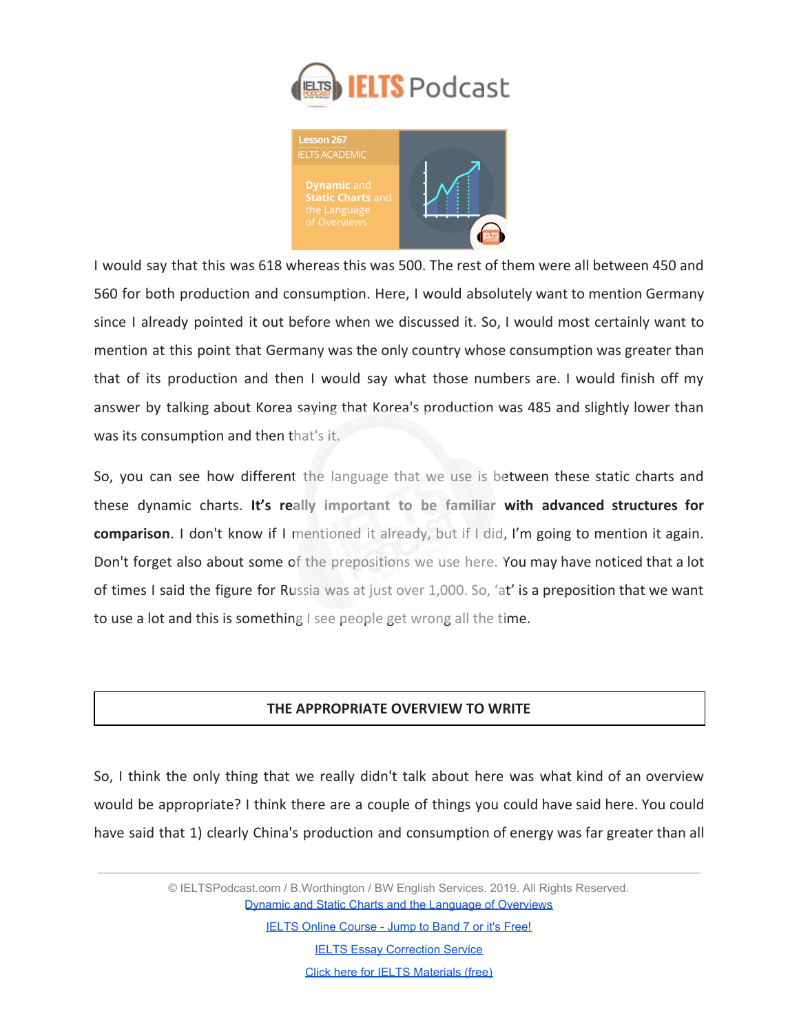



I would say that this was 618 whereas this was 500. The rest of them were all between 450 and 560 for both production and consumption. Here, I would absolutely want to mention Germany since I already pointed it out before when we discussed it. So, I would most certainly want to mention at this point that Germany was the only country whose consumption was greater than that of its production and then I would say what those numbers are. I would finish off my answer by talking about Korea saying that Korea's production was 485 and slightly lower than was its consumption and then that's it.

So, you can see how different the language that we use is between these static charts and these dynamic charts. **It's really important to be familiar with advanced structures for comparison**. I don't know if I mentioned it already, but if I did, I'm going to mention it again. Don't forget also about some of the prepositions we use here. You may have noticed that a lot of times I said the figure for Russia was at just over 1,000. So, 'at' is a preposition that we want to use a lot and this is something I see people get wrong all the time.

### **THE APPROPRIATE OVERVIEW TO WRITE**

So, I think the only thing that we really didn't talk about here was what kind of an overview would be appropriate? I think there are a couple of things you could have said here. You could have said that 1) clearly China's production and consumption of energy was far greater than all

> © IELTSPodcast.com / B.Worthington / BW English Services. 2019. All Rights Reserved. [Dynamic and Static Charts and the Language of Overviews](https://www.ieltspodcast.com/academic-ielts/dynamic-static/?utm_source=blog_transcript&utm_medium=weekly&utm_term=&utm_content=&utm_campaign=post267)

> > [IELTS Online Course - Jump to Band 7 or it's Free!](https://www.ieltspodcast.com/online-ielts-course/?utm_source=blog_transcript&utm_medium=weekly&utm_term=&utm_content=&utm_campaign=post267)

**[IELTS Essay Correction Service](https://www.ieltspodcast.com/essay-correction-service/?utm_source=blog_transcript&utm_medium=weekly&utm_term=&utm_content=&utm_campaign=post267)**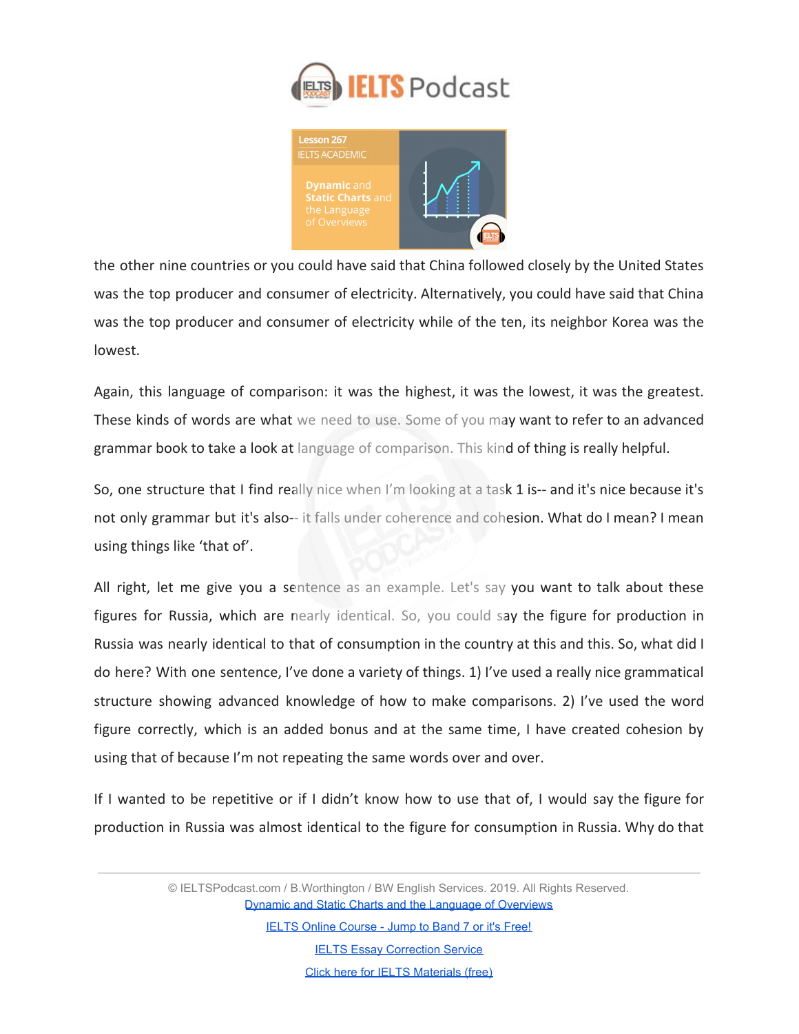



the other nine countries or you could have said that China followed closely by the United States was the top producer and consumer of electricity. Alternatively, you could have said that China was the top producer and consumer of electricity while of the ten, its neighbor Korea was the lowest.

Again, this language of comparison: it was the highest, it was the lowest, it was the greatest. These kinds of words are what we need to use. Some of you may want to refer to an advanced grammar book to take a look at language of comparison. This kind of thing is really helpful.

So, one structure that I find really nice when I'm looking at a task 1 is-- and it's nice because it's not only grammar but it's also-- it falls under coherence and cohesion. What do I mean? I mean using things like 'that of'.

All right, let me give you a sentence as an example. Let's say you want to talk about these figures for Russia, which are nearly identical. So, you could say the figure for production in Russia was nearly identical to that of consumption in the country at this and this. So, what did I do here? With one sentence, I've done a variety of things. 1) I've used a really nice grammatical structure showing advanced knowledge of how to make comparisons. 2) I've used the word figure correctly, which is an added bonus and at the same time, I have created cohesion by using that of because I'm not repeating the same words over and over.

If I wanted to be repetitive or if I didn't know how to use that of, I would say the figure for production in Russia was almost identical to the figure for consumption in Russia. Why do that

> © IELTSPodcast.com / B.Worthington / BW English Services. 2019. All Rights Reserved. [Dynamic and Static Charts and the Language of Overviews](https://www.ieltspodcast.com/academic-ielts/dynamic-static/?utm_source=blog_transcript&utm_medium=weekly&utm_term=&utm_content=&utm_campaign=post267)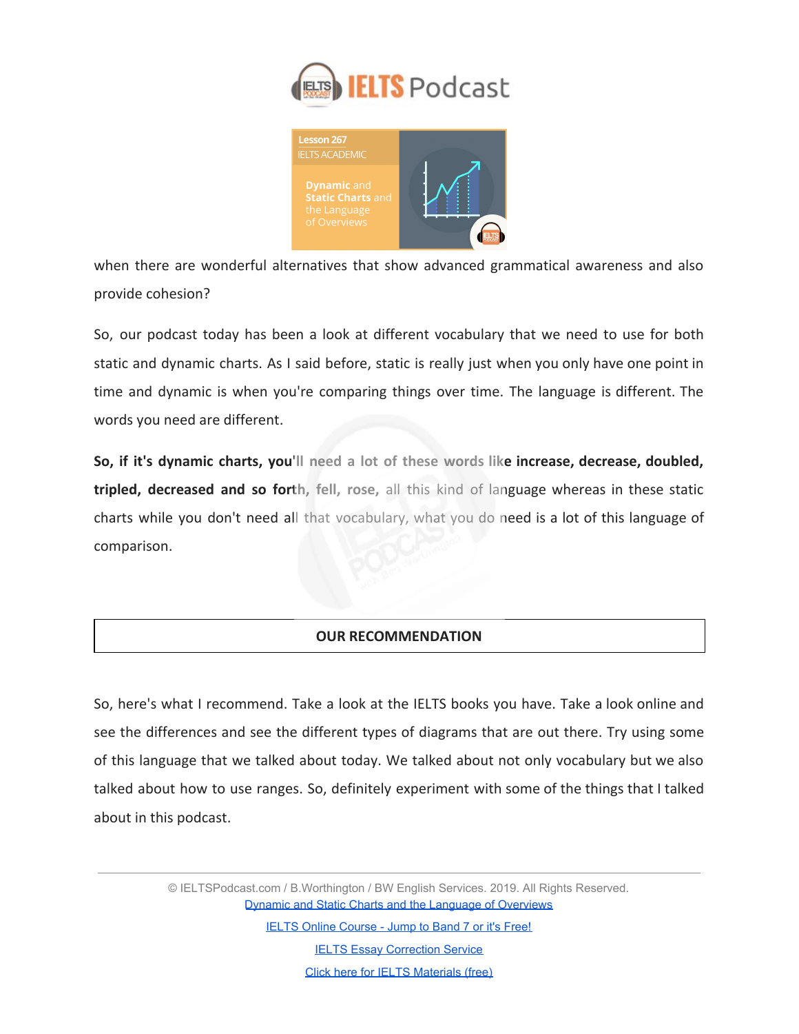



when there are wonderful alternatives that show advanced grammatical awareness and also provide cohesion?

So, our podcast today has been a look at different vocabulary that we need to use for both static and dynamic charts. As I said before, static is really just when you only have one point in time and dynamic is when you're comparing things over time. The language is different. The words you need are different.

**So, if it's dynamic charts, you'll need a lot of these words like increase, decrease, doubled, tripled, decreased and so forth, fell, rose,** all this kind of language whereas in these static charts while you don't need all that vocabulary, what you do need is a lot of this language of comparison.

### **OUR RECOMMENDATION**

So, here's what I recommend. Take a look at the IELTS books you have. Take a look online and see the differences and see the different types of diagrams that are out there. Try using some of this language that we talked about today. We talked about not only vocabulary but we also talked about how to use ranges. So, definitely experiment with some of the things that I talked about in this podcast.

> © IELTSPodcast.com / B.Worthington / BW English Services. 2019. All Rights Reserved. [Dynamic and Static Charts and the Language of Overviews](https://www.ieltspodcast.com/academic-ielts/dynamic-static/?utm_source=blog_transcript&utm_medium=weekly&utm_term=&utm_content=&utm_campaign=post267)

> > [IELTS Online Course - Jump to Band 7 or it's Free!](https://www.ieltspodcast.com/online-ielts-course/?utm_source=blog_transcript&utm_medium=weekly&utm_term=&utm_content=&utm_campaign=post267) **[IELTS Essay Correction Service](https://www.ieltspodcast.com/essay-correction-service/?utm_source=blog_transcript&utm_medium=weekly&utm_term=&utm_content=&utm_campaign=post267)**